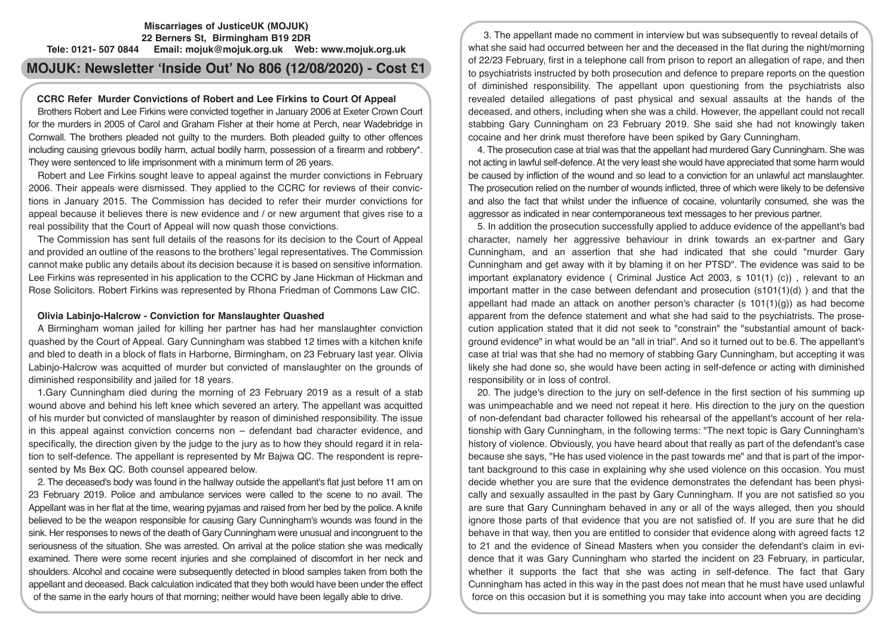# **Miscarriages of JusticeUK (MOJUK) 22 Berners St, Birmingham B19 2DR Tele: 0121- 507 0844 Email: mojuk@mojuk.org.uk Web: www.mojuk.org.uk**

# **MOJUK: Newsletter 'Inside Out' No 806 (12/08/2020) - Cost £1**

# **CCRC Refer Murder Convictions of Robert and Lee Firkins to Court Of Appeal**

Brothers Robert and Lee Firkins were convicted together in January 2006 at Exeter Crown Court for the murders in 2005 of Carol and Graham Fisher at their home at Perch, near Wadebridge in Cornwall. The brothers pleaded not guilty to the murders. Both pleaded guilty to other offences including causing grievous bodily harm, actual bodily harm, possession of a firearm and robbery\*. They were sentenced to life imprisonment with a minimum term of 26 years.

Robert and Lee Firkins sought leave to appeal against the murder convictions in February 2006. Their appeals were dismissed. They applied to the CCRC for reviews of their convictions in January 2015. The Commission has decided to refer their murder convictions for appeal because it believes there is new evidence and / or new argument that gives rise to a real possibility that the Court of Appeal will now quash those convictions.

The Commission has sent full details of the reasons for its decision to the Court of Appeal and provided an outline of the reasons to the brothers' legal representatives. The Commission cannot make public any details about its decision because it is based on sensitive information. Lee Firkins was represented in his application to the CCRC by Jane Hickman of Hickman and Rose Solicitors. Robert Firkins was represented by Rhona Friedman of Commons Law CIC.

### **Olivia Labinjo-Halcrow - Conviction for Manslaughter Quashed**

A Birmingham woman jailed for killing her partner has had her manslaughter conviction quashed by the Court of Appeal. Gary Cunningham was stabbed 12 times with a kitchen knife and bled to death in a block of flats in Harborne, Birmingham, on 23 February last year. Olivia Labinjo-Halcrow was acquitted of murder but convicted of manslaughter on the grounds of diminished responsibility and jailed for 18 years.

1.Gary Cunningham died during the morning of 23 February 2019 as a result of a stab wound above and behind his left knee which severed an artery. The appellant was acquitted of his murder but convicted of manslaughter by reason of diminished responsibility. The issue in this appeal against conviction concerns non – defendant bad character evidence, and specifically, the direction given by the judge to the jury as to how they should regard it in relation to self-defence. The appellant is represented by Mr Bajwa QC. The respondent is represented by Ms Bex QC. Both counsel appeared below.

2. The deceased's body was found in the hallway outside the appellant's flat just before 11 am on 23 February 2019. Police and ambulance services were called to the scene to no avail. The Appellant was in her flat at the time, wearing pyjamas and raised from her bed by the police. A knife believed to be the weapon responsible for causing Gary Cunningham's wounds was found in the sink. Her responses to news of the death of Gary Cunningham were unusual and incongruent to the seriousness of the situation. She was arrested. On arrival at the police station she was medically examined. There were some recent injuries and she complained of discomfort in her neck and shoulders. Alcohol and cocaine were subsequently detected in blood samples taken from both the appellant and deceased. Back calculation indicated that they both would have been under the effect of the same in the early hours of that morning; neither would have been legally able to drive.

3. The appellant made no comment in interview but was subsequently to reveal details of what she said had occurred between her and the deceased in the flat during the night/morning of 22/23 February, first in a telephone call from prison to report an allegation of rape, and then to psychiatrists instructed by both prosecution and defence to prepare reports on the question of diminished responsibility. The appellant upon questioning from the psychiatrists also revealed detailed allegations of past physical and sexual assaults at the hands of the deceased, and others, including when she was a child. However, the appellant could not recall stabbing Gary Cunningham on 23 February 2019. She said she had not knowingly taken cocaine and her drink must therefore have been spiked by Gary Cunningham.

4. The prosecution case at trial was that the appellant had murdered Gary Cunningham. She was not acting in lawful self-defence. At the very least she would have appreciated that some harm would be caused by infliction of the wound and so lead to a conviction for an unlawful act manslaughter. The prosecution relied on the number of wounds inflicted, three of which were likely to be defensive and also the fact that whilst under the influence of cocaine, voluntarily consumed, she was the aggressor as indicated in near contemporaneous text messages to her previous partner.

5. In addition the prosecution successfully applied to adduce evidence of the appellant's bad character, namely her aggressive behaviour in drink towards an ex-partner and Gary Cunningham, and an assertion that she had indicated that she could "murder Gary Cunningham and get away with it by blaming it on her PTSD". The evidence was said to be important explanatory evidence ( Criminal Justice Act 2003, s 101(1) (c)) , relevant to an important matter in the case between defendant and prosecution  $(s101(1)(d))$  and that the appellant had made an attack on another person's character (s  $101(1)(q)$ ) as had become apparent from the defence statement and what she had said to the psychiatrists. The prosecution application stated that it did not seek to "constrain" the "substantial amount of background evidence" in what would be an "all in trial". And so it turned out to be.6. The appellant's case at trial was that she had no memory of stabbing Gary Cunningham, but accepting it was likely she had done so, she would have been acting in self-defence or acting with diminished responsibility or in loss of control.

20. The judge's direction to the jury on self-defence in the first section of his summing up was unimpeachable and we need not repeat it here. His direction to the jury on the question of non-defendant bad character followed his rehearsal of the appellant's account of her relationship with Gary Cunningham, in the following terms: "The next topic is Gary Cunningham's history of violence. Obviously, you have heard about that really as part of the defendant's case because she says, "He has used violence in the past towards me" and that is part of the important background to this case in explaining why she used violence on this occasion. You must decide whether you are sure that the evidence demonstrates the defendant has been physically and sexually assaulted in the past by Gary Cunningham. If you are not satisfied so you are sure that Gary Cunningham behaved in any or all of the ways alleged, then you should ignore those parts of that evidence that you are not satisfied of. If you are sure that he did behave in that way, then you are entitled to consider that evidence along with agreed facts 12 to 21 and the evidence of Sinead Masters when you consider the defendant's claim in evidence that it was Gary Cunningham who started the incident on 23 February, in particular, whether it supports the fact that she was acting in self-defence. The fact that Gary Cunningham has acted in this way in the past does not mean that he must have used unlawful force on this occasion but it is something you may take into account when you are deciding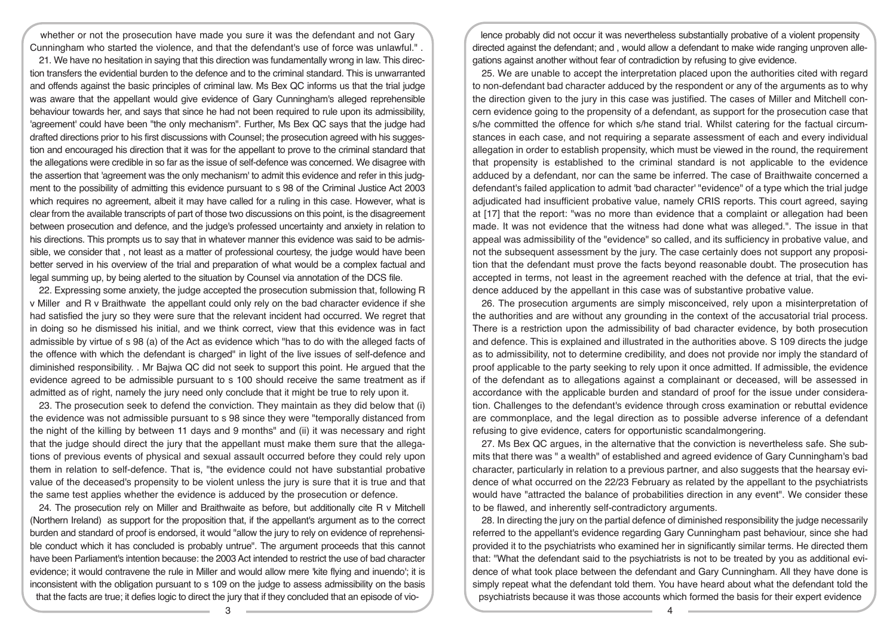whether or not the prosecution have made you sure it was the defendant and not Gary Cunningham who started the violence, and that the defendant's use of force was unlawful." .

21. We have no hesitation in saying that this direction was fundamentally wrong in law. This direction transfers the evidential burden to the defence and to the criminal standard. This is unwarranted and offends against the basic principles of criminal law. Ms Bex QC informs us that the trial judge was aware that the appellant would give evidence of Gary Cunningham's alleged reprehensible behaviour towards her, and says that since he had not been required to rule upon its admissibility, 'agreement' could have been "the only mechanism". Further, Ms Bex QC says that the judge had drafted directions prior to his first discussions with Counsel; the prosecution agreed with his suggestion and encouraged his direction that it was for the appellant to prove to the criminal standard that the allegations were credible in so far as the issue of self-defence was concerned. We disagree with the assertion that 'agreement was the only mechanism' to admit this evidence and refer in this judgment to the possibility of admitting this evidence pursuant to s 98 of the Criminal Justice Act 2003 which requires no agreement, albeit it may have called for a ruling in this case. However, what is clear from the available transcripts of part of those two discussions on this point, is the disagreement between prosecution and defence, and the judge's professed uncertainty and anxiety in relation to his directions. This prompts us to say that in whatever manner this evidence was said to be admissible, we consider that , not least as a matter of professional courtesy, the judge would have been better served in his overview of the trial and preparation of what would be a complex factual and legal summing up, by being alerted to the situation by Counsel via annotation of the DCS file.

22. Expressing some anxiety, the judge accepted the prosecution submission that, following R v Miller and R v Braithwate the appellant could only rely on the bad character evidence if she had satisfied the jury so they were sure that the relevant incident had occurred. We regret that in doing so he dismissed his initial, and we think correct, view that this evidence was in fact admissible by virtue of s 98 (a) of the Act as evidence which "has to do with the alleged facts of the offence with which the defendant is charged" in light of the live issues of self-defence and diminished responsibility. . Mr Bajwa QC did not seek to support this point. He argued that the evidence agreed to be admissible pursuant to s 100 should receive the same treatment as if admitted as of right, namely the jury need only conclude that it might be true to rely upon it.

23. The prosecution seek to defend the conviction. They maintain as they did below that (i) the evidence was not admissible pursuant to s 98 since they were "temporally distanced from the night of the killing by between 11 days and 9 months" and (ii) it was necessary and right that the judge should direct the jury that the appellant must make them sure that the allegations of previous events of physical and sexual assault occurred before they could rely upon them in relation to self-defence. That is, "the evidence could not have substantial probative value of the deceased's propensity to be violent unless the jury is sure that it is true and that the same test applies whether the evidence is adduced by the prosecution or defence.

24. The prosecution rely on Miller and Braithwaite as before, but additionally cite R v Mitchell (Northern Ireland) as support for the proposition that, if the appellant's argument as to the correct burden and standard of proof is endorsed, it would "allow the jury to rely on evidence of reprehensible conduct which it has concluded is probably untrue". The argument proceeds that this cannot have been Parliament's intention because: the 2003 Act intended to restrict the use of bad character evidence; it would contravene the rule in Miller and would allow mere 'kite flying and inuendo'; it is inconsistent with the obligation pursuant to s 109 on the judge to assess admissibility on the basis that the facts are true; it defies logic to direct the jury that if they concluded that an episode of vio-

lence probably did not occur it was nevertheless substantially probative of a violent propensity directed against the defendant; and , would allow a defendant to make wide ranging unproven allegations against another without fear of contradiction by refusing to give evidence.

25. We are unable to accept the interpretation placed upon the authorities cited with regard to non-defendant bad character adduced by the respondent or any of the arguments as to why the direction given to the jury in this case was justified. The cases of Miller and Mitchell concern evidence going to the propensity of a defendant, as support for the prosecution case that s/he committed the offence for which s/he stand trial. Whilst catering for the factual circumstances in each case, and not requiring a separate assessment of each and every individual allegation in order to establish propensity, which must be viewed in the round, the requirement that propensity is established to the criminal standard is not applicable to the evidence adduced by a defendant, nor can the same be inferred. The case of Braithwaite concerned a defendant's failed application to admit 'bad character' "evidence" of a type which the trial judge adjudicated had insufficient probative value, namely CRIS reports. This court agreed, saying at [17] that the report: "was no more than evidence that a complaint or allegation had been made. It was not evidence that the witness had done what was alleged.". The issue in that appeal was admissibility of the "evidence" so called, and its sufficiency in probative value, and not the subsequent assessment by the jury. The case certainly does not support any proposition that the defendant must prove the facts beyond reasonable doubt. The prosecution has accepted in terms, not least in the agreement reached with the defence at trial, that the evidence adduced by the appellant in this case was of substantive probative value.

26. The prosecution arguments are simply misconceived, rely upon a misinterpretation of the authorities and are without any grounding in the context of the accusatorial trial process. There is a restriction upon the admissibility of bad character evidence, by both prosecution and defence. This is explained and illustrated in the authorities above. S 109 directs the judge as to admissibility, not to determine credibility, and does not provide nor imply the standard of proof applicable to the party seeking to rely upon it once admitted. If admissible, the evidence of the defendant as to allegations against a complainant or deceased, will be assessed in accordance with the applicable burden and standard of proof for the issue under consideration. Challenges to the defendant's evidence through cross examination or rebuttal evidence are commonplace, and the legal direction as to possible adverse inference of a defendant refusing to give evidence, caters for opportunistic scandalmongering.

27. Ms Bex QC argues, in the alternative that the conviction is nevertheless safe. She submits that there was " a wealth" of established and agreed evidence of Gary Cunningham's bad character, particularly in relation to a previous partner, and also suggests that the hearsay evidence of what occurred on the 22/23 February as related by the appellant to the psychiatrists would have "attracted the balance of probabilities direction in any event". We consider these to be flawed, and inherently self-contradictory arguments.

28. In directing the jury on the partial defence of diminished responsibility the judge necessarily referred to the appellant's evidence regarding Gary Cunningham past behaviour, since she had provided it to the psychiatrists who examined her in significantly similar terms. He directed them that: "What the defendant said to the psychiatrists is not to be treated by you as additional evidence of what took place between the defendant and Gary Cunningham. All they have done is simply repeat what the defendant told them. You have heard about what the defendant told the psychiatrists because it was those accounts which formed the basis for their expert evidence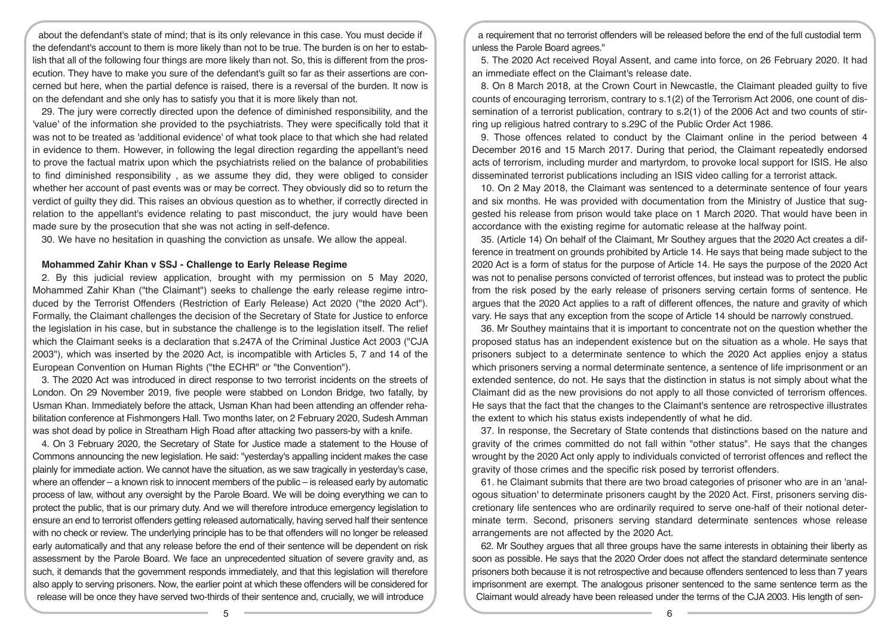about the defendant's state of mind; that is its only relevance in this case. You must decide if the defendant's account to them is more likely than not to be true. The burden is on her to establish that all of the following four things are more likely than not. So, this is different from the prosecution. They have to make you sure of the defendant's guilt so far as their assertions are concerned but here, when the partial defence is raised, there is a reversal of the burden. It now is on the defendant and she only has to satisfy you that it is more likely than not.

29. The jury were correctly directed upon the defence of diminished responsibility, and the 'value' of the information she provided to the psychiatrists. They were specifically told that it was not to be treated as 'additional evidence' of what took place to that which she had related in evidence to them. However, in following the legal direction regarding the appellant's need to prove the factual matrix upon which the psychiatrists relied on the balance of probabilities to find diminished responsibility , as we assume they did, they were obliged to consider whether her account of past events was or may be correct. They obviously did so to return the verdict of guilty they did. This raises an obvious question as to whether, if correctly directed in relation to the appellant's evidence relating to past misconduct, the jury would have been made sure by the prosecution that she was not acting in self-defence.

30. We have no hesitation in quashing the conviction as unsafe. We allow the appeal.

#### **Mohammed Zahir Khan v SSJ - Challenge to Early Release Regime**

2. By this judicial review application, brought with my permission on 5 May 2020, Mohammed Zahir Khan ("the Claimant") seeks to challenge the early release regime introduced by the Terrorist Offenders (Restriction of Early Release) Act 2020 ("the 2020 Act"). Formally, the Claimant challenges the decision of the Secretary of State for Justice to enforce the legislation in his case, but in substance the challenge is to the legislation itself. The relief which the Claimant seeks is a declaration that s.247A of the Criminal Justice Act 2003 ("CJA 2003"), which was inserted by the 2020 Act, is incompatible with Articles 5, 7 and 14 of the European Convention on Human Rights ("the ECHR" or "the Convention").

3. The 2020 Act was introduced in direct response to two terrorist incidents on the streets of London. On 29 November 2019, five people were stabbed on London Bridge, two fatally, by Usman Khan. Immediately before the attack, Usman Khan had been attending an offender rehabilitation conference at Fishmongers Hall. Two months later, on 2 February 2020, Sudesh Amman was shot dead by police in Streatham High Road after attacking two passers-by with a knife.

4. On 3 February 2020, the Secretary of State for Justice made a statement to the House of Commons announcing the new legislation. He said: "yesterday's appalling incident makes the case plainly for immediate action. We cannot have the situation, as we saw tragically in yesterday's case, where an offender – a known risk to innocent members of the public – is released early by automatic process of law, without any oversight by the Parole Board. We will be doing everything we can to protect the public, that is our primary duty. And we will therefore introduce emergency legislation to ensure an end to terrorist offenders getting released automatically, having served half their sentence with no check or review. The underlying principle has to be that offenders will no longer be released early automatically and that any release before the end of their sentence will be dependent on risk assessment by the Parole Board. We face an unprecedented situation of severe gravity and, as such, it demands that the government responds immediately, and that this legislation will therefore also apply to serving prisoners. Now, the earlier point at which these offenders will be considered for release will be once they have served two-thirds of their sentence and, crucially, we will introduce

a requirement that no terrorist offenders will be released before the end of the full custodial term unless the Parole Board agrees."

5. The 2020 Act received Royal Assent, and came into force, on 26 February 2020. It had an immediate effect on the Claimant's release date.

8. On 8 March 2018, at the Crown Court in Newcastle, the Claimant pleaded guilty to five counts of encouraging terrorism, contrary to s.1(2) of the Terrorism Act 2006, one count of dissemination of a terrorist publication, contrary to s.2(1) of the 2006 Act and two counts of stirring up religious hatred contrary to s.29C of the Public Order Act 1986.

9. Those offences related to conduct by the Claimant online in the period between 4 December 2016 and 15 March 2017. During that period, the Claimant repeatedly endorsed acts of terrorism, including murder and martyrdom, to provoke local support for ISIS. He also disseminated terrorist publications including an ISIS video calling for a terrorist attack.

10. On 2 May 2018, the Claimant was sentenced to a determinate sentence of four years and six months. He was provided with documentation from the Ministry of Justice that suggested his release from prison would take place on 1 March 2020. That would have been in accordance with the existing regime for automatic release at the halfway point.

35. (Article 14) On behalf of the Claimant, Mr Southey argues that the 2020 Act creates a difference in treatment on grounds prohibited by Article 14. He says that being made subject to the 2020 Act is a form of status for the purpose of Article 14. He says the purpose of the 2020 Act was not to penalise persons convicted of terrorist offences, but instead was to protect the public from the risk posed by the early release of prisoners serving certain forms of sentence. He argues that the 2020 Act applies to a raft of different offences, the nature and gravity of which vary. He says that any exception from the scope of Article 14 should be narrowly construed.

36. Mr Southey maintains that it is important to concentrate not on the question whether the proposed status has an independent existence but on the situation as a whole. He says that prisoners subject to a determinate sentence to which the 2020 Act applies enjoy a status which prisoners serving a normal determinate sentence, a sentence of life imprisonment or an extended sentence, do not. He says that the distinction in status is not simply about what the Claimant did as the new provisions do not apply to all those convicted of terrorism offences. He says that the fact that the changes to the Claimant's sentence are retrospective illustrates the extent to which his status exists independently of what he did.

37. In response, the Secretary of State contends that distinctions based on the nature and gravity of the crimes committed do not fall within "other status". He says that the changes wrought by the 2020 Act only apply to individuals convicted of terrorist offences and reflect the gravity of those crimes and the specific risk posed by terrorist offenders.

61. he Claimant submits that there are two broad categories of prisoner who are in an 'analogous situation' to determinate prisoners caught by the 2020 Act. First, prisoners serving discretionary life sentences who are ordinarily required to serve one-half of their notional determinate term. Second, prisoners serving standard determinate sentences whose release arrangements are not affected by the 2020 Act.

62. Mr Southey argues that all three groups have the same interests in obtaining their liberty as soon as possible. He says that the 2020 Order does not affect the standard determinate sentence prisoners both because it is not retrospective and because offenders sentenced to less than 7 years imprisonment are exempt. The analogous prisoner sentenced to the same sentence term as the Claimant would already have been released under the terms of the CJA 2003. His length of sen-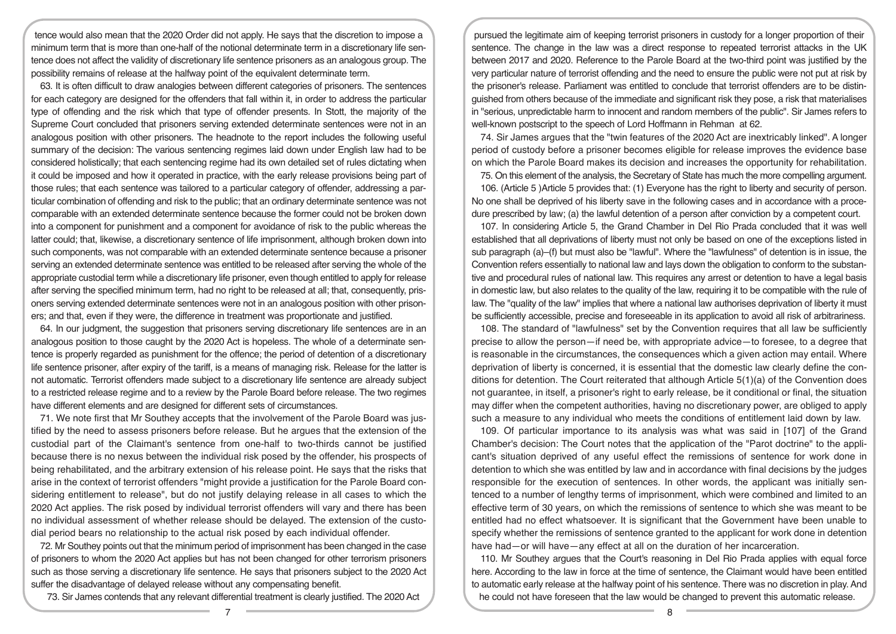tence would also mean that the 2020 Order did not apply. He says that the discretion to impose a minimum term that is more than one-half of the notional determinate term in a discretionary life sentence does not affect the validity of discretionary life sentence prisoners as an analogous group. The possibility remains of release at the halfway point of the equivalent determinate term.

63. It is often difficult to draw analogies between different categories of prisoners. The sentences for each category are designed for the offenders that fall within it, in order to address the particular type of offending and the risk which that type of offender presents. In Stott, the majority of the Supreme Court concluded that prisoners serving extended determinate sentences were not in an analogous position with other prisoners. The headnote to the report includes the following useful summary of the decision: The various sentencing regimes laid down under English law had to be considered holistically; that each sentencing regime had its own detailed set of rules dictating when it could be imposed and how it operated in practice, with the early release provisions being part of those rules; that each sentence was tailored to a particular category of offender, addressing a particular combination of offending and risk to the public; that an ordinary determinate sentence was not comparable with an extended determinate sentence because the former could not be broken down into a component for punishment and a component for avoidance of risk to the public whereas the latter could; that, likewise, a discretionary sentence of life imprisonment, although broken down into such components, was not comparable with an extended determinate sentence because a prisoner serving an extended determinate sentence was entitled to be released after serving the whole of the appropriate custodial term while a discretionary life prisoner, even though entitled to apply for release after serving the specified minimum term, had no right to be released at all; that, consequently, prisoners serving extended determinate sentences were not in an analogous position with other prisoners; and that, even if they were, the difference in treatment was proportionate and justified.

64. In our judgment, the suggestion that prisoners serving discretionary life sentences are in an analogous position to those caught by the 2020 Act is hopeless. The whole of a determinate sentence is properly regarded as punishment for the offence; the period of detention of a discretionary life sentence prisoner, after expiry of the tariff, is a means of managing risk. Release for the latter is not automatic. Terrorist offenders made subject to a discretionary life sentence are already subject to a restricted release regime and to a review by the Parole Board before release. The two regimes have different elements and are designed for different sets of circumstances.

71. We note first that Mr Southey accepts that the involvement of the Parole Board was justified by the need to assess prisoners before release. But he argues that the extension of the custodial part of the Claimant's sentence from one-half to two-thirds cannot be justified because there is no nexus between the individual risk posed by the offender, his prospects of being rehabilitated, and the arbitrary extension of his release point. He says that the risks that arise in the context of terrorist offenders "might provide a justification for the Parole Board considering entitlement to release", but do not justify delaying release in all cases to which the 2020 Act applies. The risk posed by individual terrorist offenders will vary and there has been no individual assessment of whether release should be delayed. The extension of the custodial period bears no relationship to the actual risk posed by each individual offender.

72. Mr Southey points out that the minimum period of imprisonment has been changed in the case of prisoners to whom the 2020 Act applies but has not been changed for other terrorism prisoners such as those serving a discretionary life sentence. He says that prisoners subject to the 2020 Act suffer the disadvantage of delayed release without any compensating benefit.

73. Sir James contends that any relevant differential treatment is clearly justified. The 2020 Act

pursued the legitimate aim of keeping terrorist prisoners in custody for a longer proportion of their sentence. The change in the law was a direct response to repeated terrorist attacks in the UK between 2017 and 2020. Reference to the Parole Board at the two-third point was justified by the very particular nature of terrorist offending and the need to ensure the public were not put at risk by the prisoner's release. Parliament was entitled to conclude that terrorist offenders are to be distinguished from others because of the immediate and significant risk they pose, a risk that materialises in "serious, unpredictable harm to innocent and random members of the public". Sir James refers to well-known postscript to the speech of Lord Hoffmann in Rehman at 62.

74. Sir James argues that the "twin features of the 2020 Act are inextricably linked". A longer period of custody before a prisoner becomes eligible for release improves the evidence base on which the Parole Board makes its decision and increases the opportunity for rehabilitation.

75. On this element of the analysis, the Secretary of State has much the more compelling argument.

106. (Article 5 )Article 5 provides that: (1) Everyone has the right to liberty and security of person. No one shall be deprived of his liberty save in the following cases and in accordance with a procedure prescribed by law; (a) the lawful detention of a person after conviction by a competent court.

107. In considering Article 5, the Grand Chamber in Del Rio Prada concluded that it was well established that all deprivations of liberty must not only be based on one of the exceptions listed in sub paragraph (a)–(f) but must also be "lawful". Where the "lawfulness" of detention is in issue, the Convention refers essentially to national law and lays down the obligation to conform to the substantive and procedural rules of national law. This requires any arrest or detention to have a legal basis in domestic law, but also relates to the quality of the law, requiring it to be compatible with the rule of law. The "quality of the law" implies that where a national law authorises deprivation of liberty it must be sufficiently accessible, precise and foreseeable in its application to avoid all risk of arbitrariness.

108. The standard of "lawfulness" set by the Convention requires that all law be sufficiently precise to allow the person—if need be, with appropriate advice—to foresee, to a degree that is reasonable in the circumstances, the consequences which a given action may entail. Where deprivation of liberty is concerned, it is essential that the domestic law clearly define the conditions for detention. The Court reiterated that although Article 5(1)(a) of the Convention does not guarantee, in itself, a prisoner's right to early release, be it conditional or final, the situation may differ when the competent authorities, having no discretionary power, are obliged to apply such a measure to any individual who meets the conditions of entitlement laid down by law.

109. Of particular importance to its analysis was what was said in [107] of the Grand Chamber's decision: The Court notes that the application of the "Parot doctrine" to the applicant's situation deprived of any useful effect the remissions of sentence for work done in detention to which she was entitled by law and in accordance with final decisions by the judges responsible for the execution of sentences. In other words, the applicant was initially sentenced to a number of lengthy terms of imprisonment, which were combined and limited to an effective term of 30 years, on which the remissions of sentence to which she was meant to be entitled had no effect whatsoever. It is significant that the Government have been unable to specify whether the remissions of sentence granted to the applicant for work done in detention have had—or will have—any effect at all on the duration of her incarceration.

110. Mr Southey argues that the Court's reasoning in Del Rio Prada applies with equal force here. According to the law in force at the time of sentence, the Claimant would have been entitled to automatic early release at the halfway point of his sentence. There was no discretion in play. And he could not have foreseen that the law would be changed to prevent this automatic release.

7 8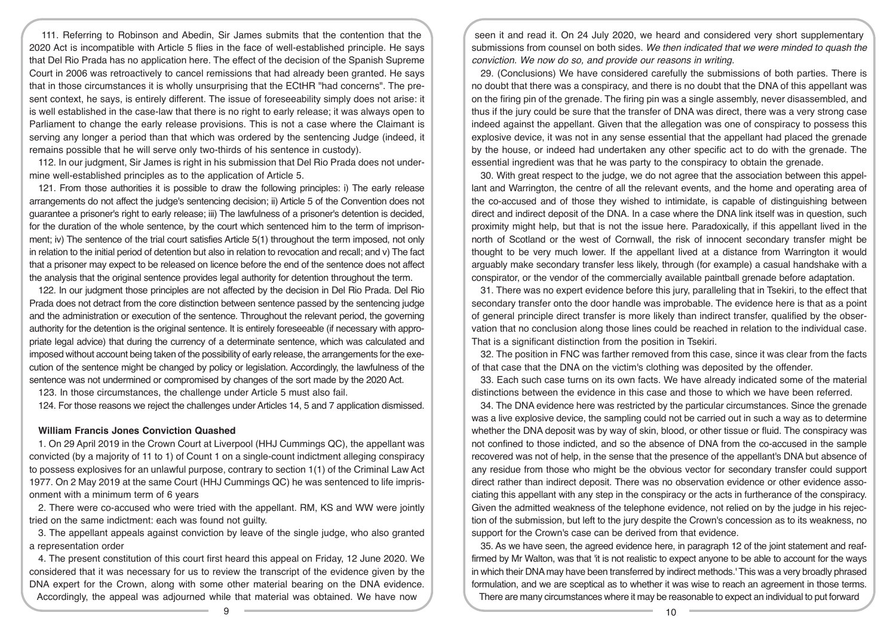111. Referring to Robinson and Abedin, Sir James submits that the contention that the 2020 Act is incompatible with Article 5 flies in the face of well-established principle. He says that Del Rio Prada has no application here. The effect of the decision of the Spanish Supreme Court in 2006 was retroactively to cancel remissions that had already been granted. He says that in those circumstances it is wholly unsurprising that the ECtHR "had concerns". The present context, he says, is entirely different. The issue of foreseeability simply does not arise: it is well established in the case-law that there is no right to early release; it was always open to Parliament to change the early release provisions. This is not a case where the Claimant is serving any longer a period than that which was ordered by the sentencing Judge (indeed, it remains possible that he will serve only two-thirds of his sentence in custody).

112. In our judgment, Sir James is right in his submission that Del Rio Prada does not undermine well-established principles as to the application of Article 5.

121. From those authorities it is possible to draw the following principles: i) The early release arrangements do not affect the judge's sentencing decision; ii) Article 5 of the Convention does not guarantee a prisoner's right to early release; iii) The lawfulness of a prisoner's detention is decided, for the duration of the whole sentence, by the court which sentenced him to the term of imprisonment; iv) The sentence of the trial court satisfies Article 5(1) throughout the term imposed, not only in relation to the initial period of detention but also in relation to revocation and recall; and v) The fact that a prisoner may expect to be released on licence before the end of the sentence does not affect the analysis that the original sentence provides legal authority for detention throughout the term.

122. In our judgment those principles are not affected by the decision in Del Rio Prada. Del Rio Prada does not detract from the core distinction between sentence passed by the sentencing judge and the administration or execution of the sentence. Throughout the relevant period, the governing authority for the detention is the original sentence. It is entirely foreseeable (if necessary with appropriate legal advice) that during the currency of a determinate sentence, which was calculated and imposed without account being taken of the possibility of early release, the arrangements for the execution of the sentence might be changed by policy or legislation. Accordingly, the lawfulness of the sentence was not undermined or compromised by changes of the sort made by the 2020 Act.

123. In those circumstances, the challenge under Article 5 must also fail.

124. For those reasons we reject the challenges under Articles 14, 5 and 7 application dismissed.

# **William Francis Jones Conviction Quashed**

1. On 29 April 2019 in the Crown Court at Liverpool (HHJ Cummings QC), the appellant was convicted (by a majority of 11 to 1) of Count 1 on a single-count indictment alleging conspiracy to possess explosives for an unlawful purpose, contrary to section 1(1) of the Criminal Law Act 1977. On 2 May 2019 at the same Court (HHJ Cummings QC) he was sentenced to life imprisonment with a minimum term of 6 years

2. There were co-accused who were tried with the appellant. RM, KS and WW were jointly tried on the same indictment: each was found not guilty.

3. The appellant appeals against conviction by leave of the single judge, who also granted a representation order

4. The present constitution of this court first heard this appeal on Friday, 12 June 2020. We considered that it was necessary for us to review the transcript of the evidence given by the DNA expert for the Crown, along with some other material bearing on the DNA evidence. Accordingly, the appeal was adjourned while that material was obtained. We have now

seen it and read it. On 24 July 2020, we heard and considered very short supplementary submissions from counsel on both sides. *We then indicated that we were minded to quash the conviction. We now do so, and provide our reasons in writing.* 

29. (Conclusions) We have considered carefully the submissions of both parties. There is no doubt that there was a conspiracy, and there is no doubt that the DNA of this appellant was on the firing pin of the grenade. The firing pin was a single assembly, never disassembled, and thus if the jury could be sure that the transfer of DNA was direct, there was a very strong case indeed against the appellant. Given that the allegation was one of conspiracy to possess this explosive device, it was not in any sense essential that the appellant had placed the grenade by the house, or indeed had undertaken any other specific act to do with the grenade. The essential ingredient was that he was party to the conspiracy to obtain the grenade.

30. With great respect to the judge, we do not agree that the association between this appellant and Warrington, the centre of all the relevant events, and the home and operating area of the co-accused and of those they wished to intimidate, is capable of distinguishing between direct and indirect deposit of the DNA. In a case where the DNA link itself was in question, such proximity might help, but that is not the issue here. Paradoxically, if this appellant lived in the north of Scotland or the west of Cornwall, the risk of innocent secondary transfer might be thought to be very much lower. If the appellant lived at a distance from Warrington it would arguably make secondary transfer less likely, through (for example) a casual handshake with a conspirator, or the vendor of the commercially available paintball grenade before adaptation.

31. There was no expert evidence before this jury, paralleling that in Tsekiri, to the effect that secondary transfer onto the door handle was improbable. The evidence here is that as a point of general principle direct transfer is more likely than indirect transfer, qualified by the observation that no conclusion along those lines could be reached in relation to the individual case. That is a significant distinction from the position in Tsekiri.

32. The position in FNC was farther removed from this case, since it was clear from the facts of that case that the DNA on the victim's clothing was deposited by the offender.

33. Each such case turns on its own facts. We have already indicated some of the material distinctions between the evidence in this case and those to which we have been referred.

34. The DNA evidence here was restricted by the particular circumstances. Since the grenade was a live explosive device, the sampling could not be carried out in such a way as to determine whether the DNA deposit was by way of skin, blood, or other tissue or fluid. The conspiracy was not confined to those indicted, and so the absence of DNA from the co-accused in the sample recovered was not of help, in the sense that the presence of the appellant's DNA but absence of any residue from those who might be the obvious vector for secondary transfer could support direct rather than indirect deposit. There was no observation evidence or other evidence associating this appellant with any step in the conspiracy or the acts in furtherance of the conspiracy. Given the admitted weakness of the telephone evidence, not relied on by the judge in his rejection of the submission, but left to the jury despite the Crown's concession as to its weakness, no support for the Crown's case can be derived from that evidence.

35. As we have seen, the agreed evidence here, in paragraph 12 of the joint statement and reaffirmed by Mr Walton, was that 'it is not realistic to expect anyone to be able to account for the ways in which their DNA may have been transferred by indirect methods.' This was a very broadly phrased formulation, and we are sceptical as to whether it was wise to reach an agreement in those terms. There are many circumstances where it may be reasonable to expect an individual to put forward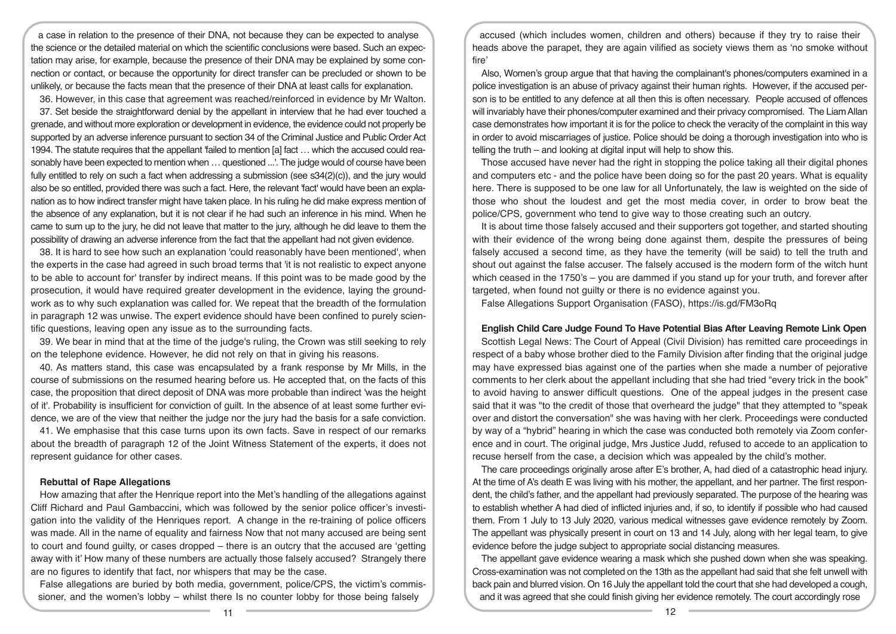a case in relation to the presence of their DNA, not because they can be expected to analyse the science or the detailed material on which the scientific conclusions were based. Such an expectation may arise, for example, because the presence of their DNA may be explained by some connection or contact, or because the opportunity for direct transfer can be precluded or shown to be unlikely, or because the facts mean that the presence of their DNA at least calls for explanation.

36. However, in this case that agreement was reached/reinforced in evidence by Mr Walton.

37. Set beside the straightforward denial by the appellant in interview that he had ever touched a grenade, and without more exploration or development in evidence, the evidence could not properly be supported by an adverse inference pursuant to section 34 of the Criminal Justice and Public Order Act 1994. The statute requires that the appellant 'failed to mention [a] fact … which the accused could reasonably have been expected to mention when … questioned ...'. The judge would of course have been fully entitled to rely on such a fact when addressing a submission (see s34(2)(c)), and the jury would also be so entitled, provided there was such a fact. Here, the relevant 'fact' would have been an explanation as to how indirect transfer might have taken place. In his ruling he did make express mention of the absence of any explanation, but it is not clear if he had such an inference in his mind. When he came to sum up to the jury, he did not leave that matter to the jury, although he did leave to them the possibility of drawing an adverse inference from the fact that the appellant had not given evidence.

38. It is hard to see how such an explanation 'could reasonably have been mentioned', when the experts in the case had agreed in such broad terms that 'it is not realistic to expect anyone to be able to account for' transfer by indirect means. If this point was to be made good by the prosecution, it would have required greater development in the evidence, laying the groundwork as to why such explanation was called for. We repeat that the breadth of the formulation in paragraph 12 was unwise. The expert evidence should have been confined to purely scientific questions, leaving open any issue as to the surrounding facts.

39. We bear in mind that at the time of the judge's ruling, the Crown was still seeking to rely on the telephone evidence. However, he did not rely on that in giving his reasons.

40. As matters stand, this case was encapsulated by a frank response by Mr Mills, in the course of submissions on the resumed hearing before us. He accepted that, on the facts of this case, the proposition that direct deposit of DNA was more probable than indirect 'was the height of it'. Probability is insufficient for conviction of guilt. In the absence of at least some further evidence, we are of the view that neither the judge nor the jury had the basis for a safe conviction.

41. We emphasise that this case turns upon its own facts. Save in respect of our remarks about the breadth of paragraph 12 of the Joint Witness Statement of the experts, it does not represent guidance for other cases.

## **Rebuttal of Rape Allegations**

How amazing that after the Henrique report into the Met's handling of the allegations against Cliff Richard and Paul Gambaccini, which was followed by the senior police officer's investigation into the validity of the Henriques report. A change in the re-training of police officers was made. All in the name of equality and fairness Now that not many accused are being sent to court and found guilty, or cases dropped – there is an outcry that the accused are 'getting away with it' How many of these numbers are actually those falsely accused? Strangely there are no figures to identify that fact, nor whispers that may be the case.

False allegations are buried by both media, government, police/CPS, the victim's commissioner, and the women's lobby – whilst there Is no counter lobby for those being falsely

accused (which includes women, children and others) because if they try to raise their heads above the parapet, they are again vilified as society views them as 'no smoke without fire'

Also, Women's group argue that that having the complainant's phones/computers examined in a police investigation is an abuse of privacy against their human rights. However, if the accused person is to be entitled to any defence at all then this is often necessary. People accused of offences will invariably have their phones/computer examined and their privacy compromised. The Liam Allan case demonstrates how important it is for the police to check the veracity of the complaint in this way in order to avoid miscarriages of justice. Police should be doing a thorough investigation into who is telling the truth – and looking at digital input will help to show this.

Those accused have never had the right in stopping the police taking all their digital phones and computers etc - and the police have been doing so for the past 20 years. What is equality here. There is supposed to be one law for all Unfortunately, the law is weighted on the side of those who shout the loudest and get the most media cover, in order to brow beat the police/CPS, government who tend to give way to those creating such an outcry.

It is about time those falsely accused and their supporters got together, and started shouting with their evidence of the wrong being done against them, despite the pressures of being falsely accused a second time, as they have the temerity (will be said) to tell the truth and shout out against the false accuser. The falsely accused is the modern form of the witch hunt which ceased in the 1750's – you are dammed if you stand up for your truth, and forever after targeted, when found not guilty or there is no evidence against you.

False Allegations Support Organisation (FASO), https://is.gd/FM3oRq

## **English Child Care Judge Found To Have Potential Bias After Leaving Remote Link Open**

Scottish Legal News: The Court of Appeal (Civil Division) has remitted care proceedings in respect of a baby whose brother died to the Family Division after finding that the original judge may have expressed bias against one of the parties when she made a number of pejorative comments to her clerk about the appellant including that she had tried "every trick in the book" to avoid having to answer difficult questions. One of the appeal judges in the present case said that it was "to the credit of those that overheard the judge" that they attempted to "speak over and distort the conversation" she was having with her clerk. Proceedings were conducted by way of a "hybrid" hearing in which the case was conducted both remotely via Zoom conference and in court. The original judge, Mrs Justice Judd, refused to accede to an application to recuse herself from the case, a decision which was appealed by the child's mother.

The care proceedings originally arose after E's brother, A, had died of a catastrophic head injury. At the time of A's death E was living with his mother, the appellant, and her partner. The first respondent, the child's father, and the appellant had previously separated. The purpose of the hearing was to establish whether A had died of inflicted injuries and, if so, to identify if possible who had caused them. From 1 July to 13 July 2020, various medical witnesses gave evidence remotely by Zoom. The appellant was physically present in court on 13 and 14 July, along with her legal team, to give evidence before the judge subject to appropriate social distancing measures.

The appellant gave evidence wearing a mask which she pushed down when she was speaking. Cross-examination was not completed on the 13th as the appellant had said that she felt unwell with back pain and blurred vision. On 16 July the appellant told the court that she had developed a cough, and it was agreed that she could finish giving her evidence remotely. The court accordingly rose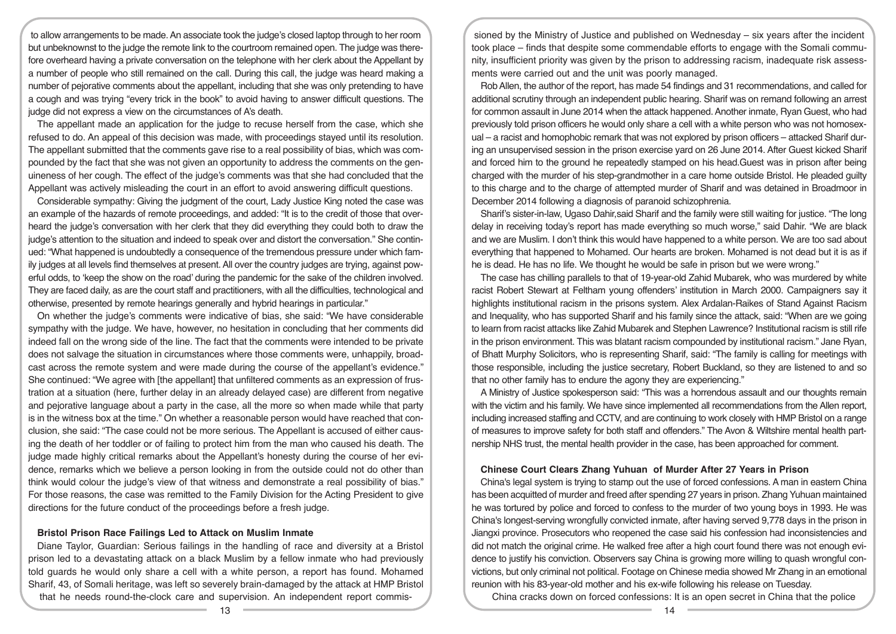to allow arrangements to be made. An associate took the judge's closed laptop through to her room but unbeknownst to the judge the remote link to the courtroom remained open. The judge was therefore overheard having a private conversation on the telephone with her clerk about the Appellant by a number of people who still remained on the call. During this call, the judge was heard making a number of pejorative comments about the appellant, including that she was only pretending to have a cough and was trying "every trick in the book" to avoid having to answer difficult questions. The judge did not express a view on the circumstances of A's death.

The appellant made an application for the judge to recuse herself from the case, which she refused to do. An appeal of this decision was made, with proceedings stayed until its resolution. The appellant submitted that the comments gave rise to a real possibility of bias, which was compounded by the fact that she was not given an opportunity to address the comments on the genuineness of her cough. The effect of the judge's comments was that she had concluded that the Appellant was actively misleading the court in an effort to avoid answering difficult questions.

Considerable sympathy: Giving the judgment of the court, Lady Justice King noted the case was an example of the hazards of remote proceedings, and added: "It is to the credit of those that overheard the judge's conversation with her clerk that they did everything they could both to draw the judge's attention to the situation and indeed to speak over and distort the conversation." She continued: "What happened is undoubtedly a consequence of the tremendous pressure under which family judges at all levels find themselves at present. All over the country judges are trying, against powerful odds, to 'keep the show on the road' during the pandemic for the sake of the children involved. They are faced daily, as are the court staff and practitioners, with all the difficulties, technological and otherwise, presented by remote hearings generally and hybrid hearings in particular."

On whether the judge's comments were indicative of bias, she said: "We have considerable sympathy with the judge. We have, however, no hesitation in concluding that her comments did indeed fall on the wrong side of the line. The fact that the comments were intended to be private does not salvage the situation in circumstances where those comments were, unhappily, broadcast across the remote system and were made during the course of the appellant's evidence." She continued: "We agree with [the appellant] that unfiltered comments as an expression of frustration at a situation (here, further delay in an already delayed case) are different from negative and pejorative language about a party in the case, all the more so when made while that party is in the witness box at the time." On whether a reasonable person would have reached that conclusion, she said: "The case could not be more serious. The Appellant is accused of either causing the death of her toddler or of failing to protect him from the man who caused his death. The judge made highly critical remarks about the Appellant's honesty during the course of her evidence, remarks which we believe a person looking in from the outside could not do other than think would colour the judge's view of that witness and demonstrate a real possibility of bias." For those reasons, the case was remitted to the Family Division for the Acting President to give directions for the future conduct of the proceedings before a fresh judge.

## **Bristol Prison Race Failings Led to Attack on Muslim Inmate**

Diane Taylor, Guardian: Serious failings in the handling of race and diversity at a Bristol prison led to a devastating attack on a black Muslim by a fellow inmate who had previously told guards he would only share a cell with a white person, a report has found. Mohamed Sharif, 43, of Somali heritage, was left so severely brain-damaged by the attack at HMP Bristol that he needs round-the-clock care and supervision. An independent report commis-

sioned by the Ministry of Justice and published on Wednesday – six years after the incident took place – finds that despite some commendable efforts to engage with the Somali community, insufficient priority was given by the prison to addressing racism, inadequate risk assessments were carried out and the unit was poorly managed.

Rob Allen, the author of the report, has made 54 findings and 31 recommendations, and called for additional scrutiny through an independent public hearing. Sharif was on remand following an arrest for common assault in June 2014 when the attack happened. Another inmate, Ryan Guest, who had previously told prison officers he would only share a cell with a white person who was not homosexual – a racist and homophobic remark that was not explored by prison officers – attacked Sharif during an unsupervised session in the prison exercise yard on 26 June 2014. After Guest kicked Sharif and forced him to the ground he repeatedly stamped on his head.Guest was in prison after being charged with the murder of his step-grandmother in a care home outside Bristol. He pleaded guilty to this charge and to the charge of attempted murder of Sharif and was detained in Broadmoor in December 2014 following a diagnosis of paranoid schizophrenia.

Sharif's sister-in-law, Ugaso Dahir,said Sharif and the family were still waiting for justice. "The long delay in receiving today's report has made everything so much worse," said Dahir. "We are black and we are Muslim. I don't think this would have happened to a white person. We are too sad about everything that happened to Mohamed. Our hearts are broken. Mohamed is not dead but it is as if he is dead. He has no life. We thought he would be safe in prison but we were wrong."

The case has chilling parallels to that of 19-year-old Zahid Mubarek, who was murdered by white racist Robert Stewart at Feltham young offenders' institution in March 2000. Campaigners say it highlights institutional racism in the prisons system. Alex Ardalan-Raikes of Stand Against Racism and Inequality, who has supported Sharif and his family since the attack, said: "When are we going to learn from racist attacks like Zahid Mubarek and Stephen Lawrence? Institutional racism is still rife in the prison environment. This was blatant racism compounded by institutional racism." Jane Ryan, of Bhatt Murphy Solicitors, who is representing Sharif, said: "The family is calling for meetings with those responsible, including the justice secretary, Robert Buckland, so they are listened to and so that no other family has to endure the agony they are experiencing."

A Ministry of Justice spokesperson said: "This was a horrendous assault and our thoughts remain with the victim and his family. We have since implemented all recommendations from the Allen report, including increased staffing and CCTV, and are continuing to work closely with HMP Bristol on a range of measures to improve safety for both staff and offenders." The Avon & Wiltshire mental health partnership NHS trust, the mental health provider in the case, has been approached for comment.

#### **Chinese Court Clears Zhang Yuhuan of Murder After 27 Years in Prison**

China's legal system is trying to stamp out the use of forced confessions. A man in eastern China has been acquitted of murder and freed after spending 27 years in prison. Zhang Yuhuan maintained he was tortured by police and forced to confess to the murder of two young boys in 1993. He was China's longest-serving wrongfully convicted inmate, after having served 9,778 days in the prison in Jiangxi province. Prosecutors who reopened the case said his confession had inconsistencies and did not match the original crime. He walked free after a high court found there was not enough evidence to justify his conviction. Observers say China is growing more willing to quash wrongful convictions, but only criminal not political. Footage on Chinese media showed Mr Zhang in an emotional reunion with his 83-year-old mother and his ex-wife following his release on Tuesday.

China cracks down on forced confessions: It is an open secret in China that the police